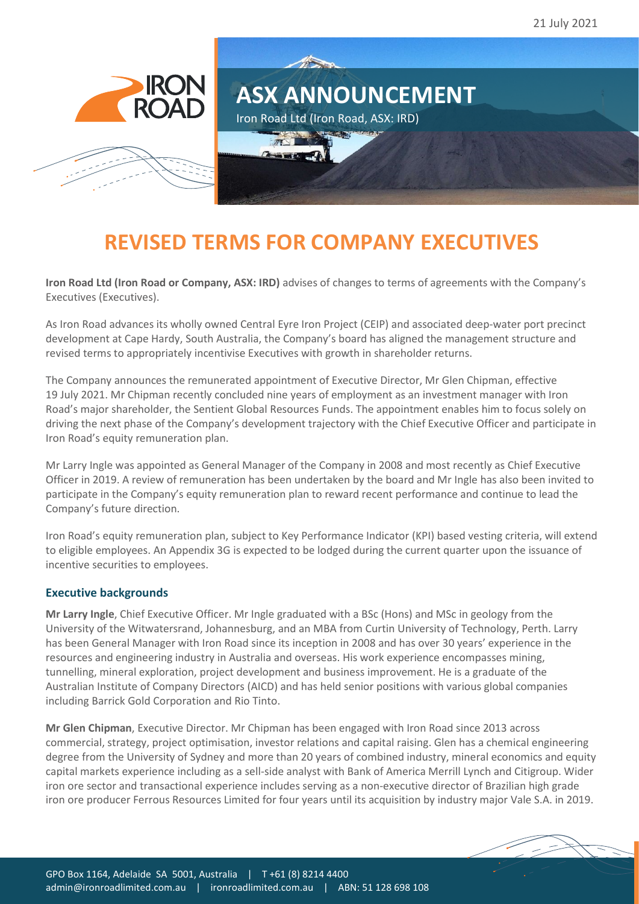

## **REVISED TERMS FOR COMPANY EXECUTIVES**

**Iron Road Ltd (Iron Road or Company, ASX: IRD)** advises of changes to terms of agreements with the Company's Executives (Executives).

As Iron Road advances its wholly owned Central Eyre Iron Project (CEIP) and associated deep-water port precinct development at Cape Hardy, South Australia, the Company's board has aligned the management structure and revised terms to appropriately incentivise Executives with growth in shareholder returns.

The Company announces the remunerated appointment of Executive Director, Mr Glen Chipman, effective 19 July 2021. Mr Chipman recently concluded nine years of employment as an investment manager with Iron Road's major shareholder, the Sentient Global Resources Funds. The appointment enables him to focus solely on driving the next phase of the Company's development trajectory with the Chief Executive Officer and participate in Iron Road's equity remuneration plan.

Mr Larry Ingle was appointed as General Manager of the Company in 2008 and most recently as Chief Executive Officer in 2019. A review of remuneration has been undertaken by the board and Mr Ingle has also been invited to participate in the Company's equity remuneration plan to reward recent performance and continue to lead the Company's future direction.

Iron Road's equity remuneration plan, subject to Key Performance Indicator (KPI) based vesting criteria, will extend to eligible employees. An Appendix 3G is expected to be lodged during the current quarter upon the issuance of incentive securities to employees.

## **Executive backgrounds**

**Mr Larry Ingle**, Chief Executive Officer. Mr Ingle graduated with a BSc (Hons) and MSc in geology from the University of the Witwatersrand, Johannesburg, and an MBA from Curtin University of Technology, Perth. Larry has been General Manager with Iron Road since its inception in 2008 and has over 30 years' experience in the resources and engineering industry in Australia and overseas. His work experience encompasses mining, tunnelling, mineral exploration, project development and business improvement. He is a graduate of the Australian Institute of Company Directors (AICD) and has held senior positions with various global companies including Barrick Gold Corporation and Rio Tinto.

**Mr Glen Chipman**, Executive Director. Mr Chipman has been engaged with Iron Road since 2013 across commercial, strategy, project optimisation, investor relations and capital raising. Glen has a chemical engineering degree from the University of Sydney and more than 20 years of combined industry, mineral economics and equity capital markets experience including as a sell-side analyst with Bank of America Merrill Lynch and Citigroup. Wider iron ore sector and transactional experience includes serving as a non-executive director of Brazilian high grade iron ore producer Ferrous Resources Limited for four years until its acquisition by industry major Vale S.A. in 2019.